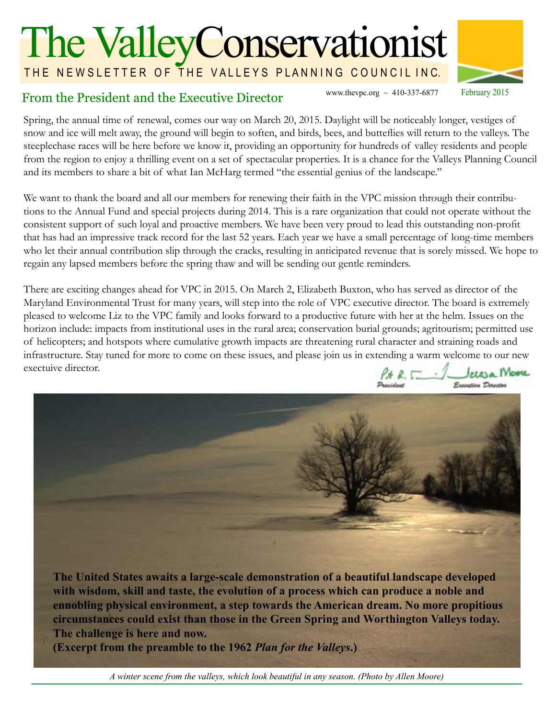# The ValleyConservationist THE NEWSLETTER OF THE VALLEYS PLANNING COUNCIL INC.



# From the President and the Executive Director  $\frac{1}{2}$  Www.thevpc.org ~ 410-337-6877 February 2015

Spring, the annual time of renewal, comes our way on March 20, 2015. Daylight will be noticeably longer, vestiges of snow and ice will melt away, the ground will begin to soften, and birds, bees, and butteflies will return to the valleys. The steeplechase races will be here before we know it, providing an opportunity for hundreds of valley residents and people from the region to enjoy a thrilling event on a set of spectacular properties. It is a chance for the Valleys Planning Council and its members to share a bit of what Ian McHarg termed "the essential genius of the landscape."

We want to thank the board and all our members for renewing their faith in the VPC mission through their contributions to the Annual Fund and special projects during 2014. This is a rare organization that could not operate without the consistent support of such loyal and proactive members. We have been very proud to lead this outstanding non-profit that has had an impressive track record for the last 52 years. Each year we have a small percentage of long-time members who let their annual contribution slip through the cracks, resulting in anticipated revenue that is sorely missed. We hope to regain any lapsed members before the spring thaw and will be sending out gentle reminders.

There are exciting changes ahead for VPC in 2015. On March 2, Elizabeth Buxton, who has served as director of the Maryland Environmental Trust for many years, will step into the role of VPC executive director. The board is extremely pleased to welcome Liz to the VPC family and looks forward to a productive future with her at the helm. Issues on the horizon include: impacts from institutional uses in the rural area; conservation burial grounds; agritourism; permitted use of helicopters; and hotspots where cumulative growth impacts are threatening rural character and straining roads and infrastructure. Stay tuned for more to come on these issues, and please join us in extending a warm welcome to our new exectuive director. Pt R. J. Seleza Mose

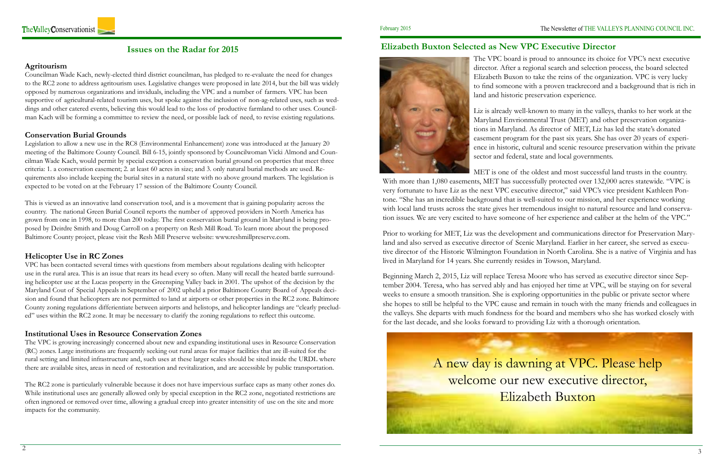

The VPC board is proud to announce its choice for VPC's next executive director. After a regional search and selection process, the board selected Elizabeth Buxon to take the reins of the organization. VPC is very lucky to find someone with a proven trackrecord and a background that is rich in land and historic preservation experience.

Liz is already well-known to many in the valleys, thanks to her work at the Maryland Envrionmental Trust (MET) and other preservation organizations in Maryland. As director of MET, Liz has led the state's donated easement program for the past six years. She has over 20 years of experience in historic, cultural and scenic resource preservation within the private sector and federal, state and local governments.

MET is one of the oldest and most successful land trusts in the country. With more than 1,080 easements, MET has successfully protected over 132,000 acres statewide. "VPC is very fortunate to have Liz as the next VPC executive director," said VPC's vice president Kathleen Pontone. "She has an incredible background that is well-suited to our mission, and her experience working with local land trusts across the state gives her tremendous insight to natural resource and land conservation issues. We are very excited to have someone of her experience and caliber at the helm of the VPC."

Prior to working for MET, Liz was the development and communications director for Preservation Maryland and also served as executive director of Scenic Maryland. Earlier in her career, she served as executive director of the Historic Wilmington Foundation in North Carolina. She is a native of Virginia and has lived in Maryland for 14 years. She currently resides in Towson, Maryland.

Beginning March 2, 2015, Liz will replace Teresa Moore who has served as executive director since September 2004. Teresa, who has served ably and has enjoyed her time at VPC, will be staying on for several weeks to ensure a smooth transition. She is exploring opportunities in the public or private sector where she hopes to still be helpful to the VPC cause and remain in touch with the many friends and colleagues in the valleys. She departs with much fondness for the board and members who she has worked closely with for the last decade, and she looks forward to providing Liz with a thorough orientation.

# **Elizabeth Buxton Selected as New VPC Executive Director Issues on the Radar for 2015**

#### **Agritourism**

Councilman Wade Kach, newly-elected third district councilman, has pledged to re-evaluate the need for changes to the RC2 zone to address agritourism uses. Legislative changes were proposed in late 2014, but the bill was widely opposed by numerous organizations and inviduals, including the VPC and a number of farmers. VPC has been supportive of agricultural-related tourism uses, but spoke against the inclusion of non-ag-related uses, such as weddings and other catered events, believing this would lead to the loss of productive farmland to other uses. Councilman Kach will be forming a committee to review the need, or possible lack of need, to revise existing regulations.

#### **Conservation Burial Grounds**

Legislation to allow a new use in the RC8 (Environmental Enhancement) zone was introduced at the January 20 meeting of the Baltimore County Council. Bill 6-15, jointly sponsored by Councilwoman Vicki Almond and Councilman Wade Kach, would permit by special exception a conservation burial ground on properties that meet three criteria: 1. a conservation easement; 2. at least 60 acres in size; and 3. only natural burial methods are used. Requirements also include keeping the burial sites in a natural state with no above ground markers. The legislation is expected to be voted on at the February 17 session of the Baltimore County Council.

This is viewed as an innovative land conservation tool, and is a movement that is gaining popularity across the country. The national Green Burial Council reports the number of approved providers in North America has grown from one in 1998, to more than 200 today. The first conservation burial ground in Maryland is being proposed by Deirdre Smith and Doug Carroll on a property on Resh Mill Road. To learn more about the proposed Baltimore County project, please visit the Resh Mill Preserve website: www.reshmillpreserve.com.

### **Helicopter Use in RC Zones**

VPC has been contacted several times with questions from members about regulations dealing with helicopter use in the rural area. This is an issue that rears its head every so often. Many will recall the heated battle surrounding helicopter use at the Lucas property in the Greensping Valley back in 2001. The upshot of the decision by the Maryland Cout of Special Appeals in September of 2002 upheld a prior Baltimore County Board of Appeals decision and found that helicopters are not permitted to land at airports or other properties in the RC2 zone. Baltimore County zoning regulations differientiate between airports and helistops, and helicopter landings are "clearly precluded" uses within the RC2 zone. It may be necessary to clarify the zoning regulations to reflect this outcome.

#### **Institutional Uses in Resource Conservation Zones**

The VPC is growing increasingly concerned about new and expanding institutional uses in Resource Conservation (RC) zones. Large institutions are frequently seeking out rural areas for major facilities that are ill-suited for the rural setting and limited infrastructure and, such uses at these larger scales should be sited inside the URDL where there are available sites, areas in need of restoration and revitalization, and are accessible by public transportation.

The RC2 zone is particularly vulnerable because it does not have impervious surface caps as many other zones do. While institutional uses are generally allowed only by special exception in the RC2 zone, negotiated restrictions are often ingnored or removed over time, allowing a gradual creep into greater intensitity of use on the site and more impacts for the community.



A new day is dawning at VPC. Please help welcome our new executive director, Elizabeth Buxton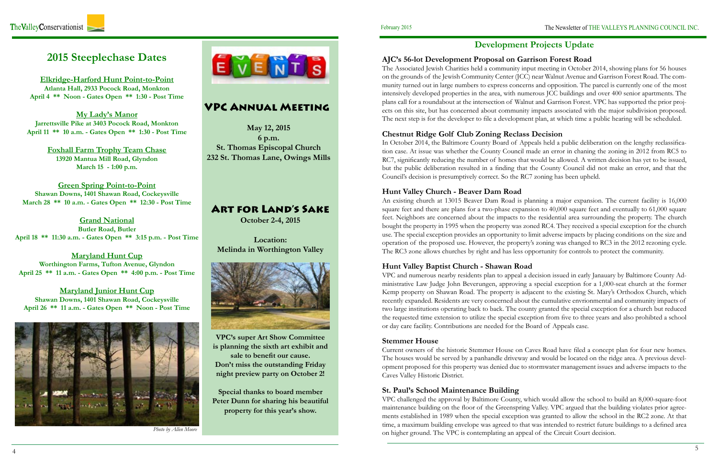# **2015 Steeplechase Dates**

**Elkridge-Harford Hunt Point-to-Point Atlanta Hall, 2933 Pocock Road, Monkton April 4 \*\* Noon - Gates Open \*\* 1:30 - Post Time**

**My Lady's Manor Jarrettsville Pike at 3403 Pocock Road, Monkton April 11 \*\* 10 a.m. - Gates Open \*\* 1:30 - Post Time**

> **Foxhall Farm Trophy Team Chase 13920 Mantua Mill Road, Glyndon March 15 - 1:00 p.m.**

**Green Spring Point-to-Point Shawan Downs, 1401 Shawan Road, Cockeysville March 28 \*\* 10 a.m. - Gates Open \*\* 12:30 - Post Time**

**Grand National Butler Road, Butler April 18 \*\* 11:30 a.m. - Gates Open \*\* 3:15 p.m. - Post Time**

**Maryland Hunt Cup Worthington Farms, Tufton Avenue, Glyndon April 25 \*\* 11 a.m. - Gates Open \*\* 4:00 p.m. - Post Time**

**Maryland Junior Hunt Cup Shawan Downs, 1401 Shawan Road, Cockeysville April 26 \*\* 11 a.m. - Gates Open \*\* Noon - Post Time**



EVENTS

# Art for Land's Sake

**October 2-4, 2015**

**Location: Melinda in Worthington Valley**



**VPC's super Art Show Committee is planning the sixth art exhibit and sale to benefit our cause. Don't miss the outstanding Friday night preview party on October 2!**

**Special thanks to board member Peter Dunn for sharing his beautiful property for this year's show.**

# VPC Annual Meeting

**May 12, 2015 6 p.m. St. Thomas Episcopal Church 232 St. Thomas Lane, Owings Mills**

# **Development Projects Update**

**AJC's 56-lot Development Proposal on Garrison Forest Road**

The Associated Jewish Charities held a community input meeting in October 2014, showing plans for 56 houses on the grounds of the Jewish Community Center (JCC) near Walnut Avenue and Garrison Forest Road. The community turned out in large numbers to express concerns and opposition. The parcel is currently one of the most intensively developed properties in the area, with numerous JCC buildings and over 400 senior apartments. The plans call for a roundabout at the intersection of Walnut and Garrison Forest. VPC has supported the prior projects on this site, but has concerned about community impacts associated with the major subdivision proposed. The next step is for the developer to file a development plan, at which time a public hearing will be scheduled.

**Chestnut Ridge Golf Club Zoning Reclass Decision**

In October 2014, the Baltimore County Board of Appeals held a public deliberation on the lengthy reclassification case. At issue was whether the County Council made an error in chaning the zoning in 2012 from RC5 to RC7, significantly reducing the number of homes that would be allowed. A written decision has yet to be issued, but the public deliberation resulted in a finding that the County Council did not make an error, and that the Council's decision is presumptively correct. So the RC7 zoning has been upheld.

### **Hunt Valley Church - Beaver Dam Road**

An existing church at 13015 Beaver Dam Road is planning a major expansion. The current facility is 16,000 square feet and there are plans for a two-phase expansion to 40,000 square feet and eventually to 61,000 square feet. Neighbors are concerned about the impacts to the residential area surrounding the property. The church bought the property in 1995 when the property was zoned RC4. They received a special exception for the church use. The special exception provides an opportunity to limit adverse impacts by placing conditions on the size and operation of the proposed use. However, the property's zoning was changed to RC3 in the 2012 rezoning cycle. The RC3 zone allows churches by right and has less opportunity for controls to protect the community.

### **Hunt Valley Baptist Church - Shawan Road**

VPC and numerous nearby residents plan to appeal a decision issued in early Janauary by Baltimore County Administrative Law Judge John Beverungen, approving a special exception for a 1,000-seat church at the former Kemp property on Shawan Road. The property is adjacent to the existing St. Mary's Orthodox Church, which recently expanded. Residents are very concerned about the cumulative envrionmental and community impacts of two large institutions operating back to back. The county granted the special exception for a church but reduced the requested time extension to utilize the special exception from five to three years and also prohibted a school or day care facility. Contributions are needed for the Board of Appeals case.

#### **Stemmer House**

Current owners of the historic Stemmer House on Caves Road have filed a concept plan for four new homes. The houses would be served by a panhandle driveway and would be located on the ridge area. A previous development proposed for this property was denied due to stormwater management issues and adverse impacts to the Caves Valley Historic District.

### **St. Paul's School Maintenance Building**

VPC challenged the approval by Baltimore County, which would allow the school to build an 8,000-square-foot maintenance building on the floor of the Greenspring Valley. VPC argued that the building violates prior agreements established in 1989 when the special exception was granted to allow the school in the RC2 zone. At that time, a maximum building envelope was agreed to that was intended to restrict future buildings to a defined area on higher ground. The VPC is contemplating an appeal of the Circuit Court decision.